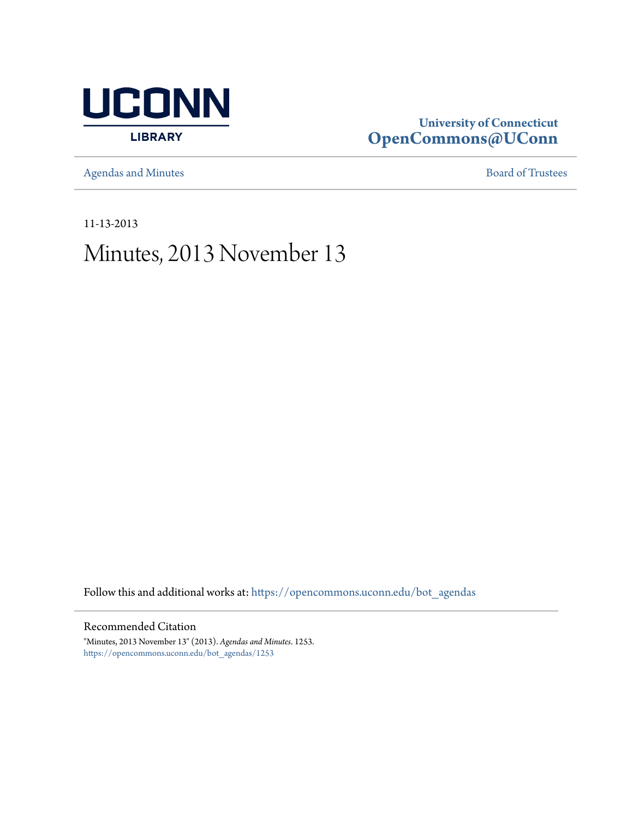

## **University of Connecticut [OpenCommons@UConn](https://opencommons.uconn.edu?utm_source=opencommons.uconn.edu%2Fbot_agendas%2F1253&utm_medium=PDF&utm_campaign=PDFCoverPages)**

[Agendas and Minutes](https://opencommons.uconn.edu/bot_agendas?utm_source=opencommons.uconn.edu%2Fbot_agendas%2F1253&utm_medium=PDF&utm_campaign=PDFCoverPages) **[Board of Trustees](https://opencommons.uconn.edu/bot?utm_source=opencommons.uconn.edu%2Fbot_agendas%2F1253&utm_medium=PDF&utm_campaign=PDFCoverPages)** 

11-13-2013

# Minutes, 2013 November 13

Follow this and additional works at: [https://opencommons.uconn.edu/bot\\_agendas](https://opencommons.uconn.edu/bot_agendas?utm_source=opencommons.uconn.edu%2Fbot_agendas%2F1253&utm_medium=PDF&utm_campaign=PDFCoverPages)

#### Recommended Citation

"Minutes, 2013 November 13" (2013). *Agendas and Minutes*. 1253. [https://opencommons.uconn.edu/bot\\_agendas/1253](https://opencommons.uconn.edu/bot_agendas/1253?utm_source=opencommons.uconn.edu%2Fbot_agendas%2F1253&utm_medium=PDF&utm_campaign=PDFCoverPages)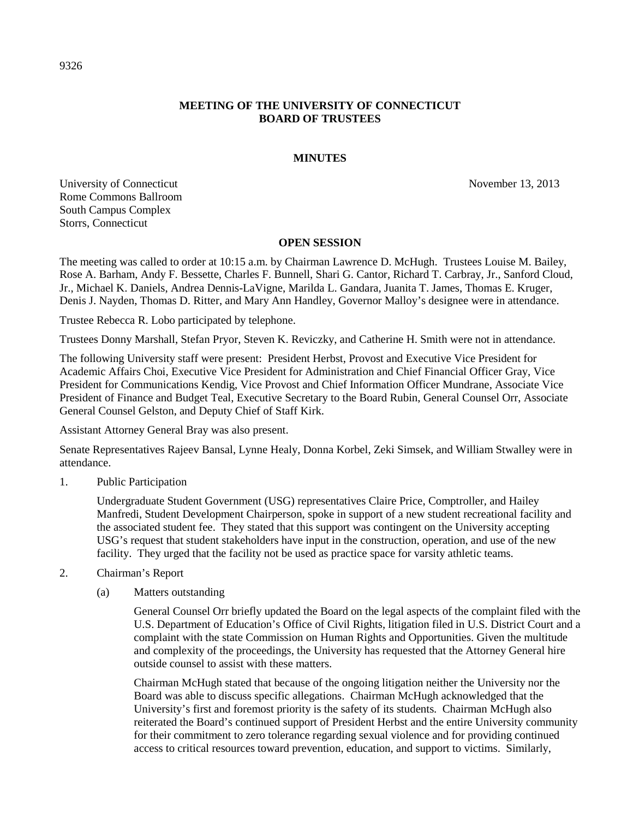#### **MEETING OF THE UNIVERSITY OF CONNECTICUT BOARD OF TRUSTEES**

#### **MINUTES**

University of Connecticut November 13, 2013 Rome Commons Ballroom South Campus Complex Storrs, Connecticut

#### **OPEN SESSION**

The meeting was called to order at 10:15 a.m. by Chairman Lawrence D. McHugh. Trustees Louise M. Bailey, Rose A. Barham, Andy F. Bessette, Charles F. Bunnell, Shari G. Cantor, Richard T. Carbray, Jr., Sanford Cloud, Jr., Michael K. Daniels, Andrea Dennis-LaVigne, Marilda L. Gandara, Juanita T. James, Thomas E. Kruger, Denis J. Nayden, Thomas D. Ritter, and Mary Ann Handley, Governor Malloy's designee were in attendance.

Trustee Rebecca R. Lobo participated by telephone.

Trustees Donny Marshall, Stefan Pryor, Steven K. Reviczky, and Catherine H. Smith were not in attendance.

The following University staff were present: President Herbst, Provost and Executive Vice President for Academic Affairs Choi, Executive Vice President for Administration and Chief Financial Officer Gray, Vice President for Communications Kendig, Vice Provost and Chief Information Officer Mundrane, Associate Vice President of Finance and Budget Teal, Executive Secretary to the Board Rubin, General Counsel Orr, Associate General Counsel Gelston, and Deputy Chief of Staff Kirk.

Assistant Attorney General Bray was also present.

Senate Representatives Rajeev Bansal, Lynne Healy, Donna Korbel, Zeki Simsek, and William Stwalley were in attendance.

1. Public Participation

Undergraduate Student Government (USG) representatives Claire Price, Comptroller, and Hailey Manfredi, Student Development Chairperson, spoke in support of a new student recreational facility and the associated student fee. They stated that this support was contingent on the University accepting USG's request that student stakeholders have input in the construction, operation, and use of the new facility. They urged that the facility not be used as practice space for varsity athletic teams.

- 2. Chairman's Report
	- (a) Matters outstanding

General Counsel Orr briefly updated the Board on the legal aspects of the complaint filed with the U.S. Department of Education's Office of Civil Rights, litigation filed in U.S. District Court and a complaint with the state Commission on Human Rights and Opportunities. Given the multitude and complexity of the proceedings, the University has requested that the Attorney General hire outside counsel to assist with these matters.

Chairman McHugh stated that because of the ongoing litigation neither the University nor the Board was able to discuss specific allegations. Chairman McHugh acknowledged that the University's first and foremost priority is the safety of its students. Chairman McHugh also reiterated the Board's continued support of President Herbst and the entire University community for their commitment to zero tolerance regarding sexual violence and for providing continued access to critical resources toward prevention, education, and support to victims. Similarly,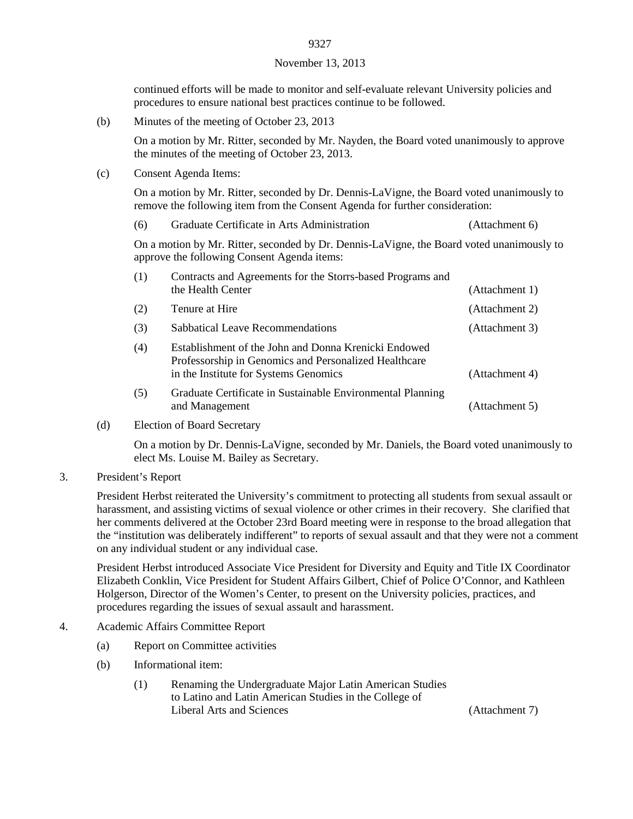### 9327 November 13, 2013

continued efforts will be made to monitor and self-evaluate relevant University policies and procedures to ensure national best practices continue to be followed.

(b) Minutes of the meeting of October 23, 2013

On a motion by Mr. Ritter, seconded by Mr. Nayden, the Board voted unanimously to approve the minutes of the meeting of October 23, 2013.

(c) Consent Agenda Items:

On a motion by Mr. Ritter, seconded by Dr. Dennis-LaVigne, the Board voted unanimously to remove the following item from the Consent Agenda for further consideration:

(6) Graduate Certificate in Arts Administration (Attachment 6)

On a motion by Mr. Ritter, seconded by Dr. Dennis-LaVigne, the Board voted unanimously to approve the following Consent Agenda items:

| (1) | Contracts and Agreements for the Storrs-based Programs and<br>the Health Center                                                                        | (Attachment 1) |
|-----|--------------------------------------------------------------------------------------------------------------------------------------------------------|----------------|
| (2) | Tenure at Hire                                                                                                                                         | (Attachment 2) |
| (3) | Sabbatical Leave Recommendations                                                                                                                       | (Attachment 3) |
| (4) | Establishment of the John and Donna Krenicki Endowed<br>Professorship in Genomics and Personalized Healthcare<br>in the Institute for Systems Genomics | (Attachment 4) |
| (5) | Graduate Certificate in Sustainable Environmental Planning<br>and Management                                                                           | (Attachment 5) |

(d) Election of Board Secretary

On a motion by Dr. Dennis-LaVigne, seconded by Mr. Daniels, the Board voted unanimously to elect Ms. Louise M. Bailey as Secretary.

3. President's Report

President Herbst reiterated the University's commitment to protecting all students from sexual assault or harassment, and assisting victims of sexual violence or other crimes in their recovery. She clarified that her comments delivered at the October 23rd Board meeting were in response to the broad allegation that the "institution was deliberately indifferent" to reports of sexual assault and that they were not a comment on any individual student or any individual case.

President Herbst introduced Associate Vice President for Diversity and Equity and Title IX Coordinator Elizabeth Conklin, Vice President for Student Affairs Gilbert, Chief of Police O'Connor, and Kathleen Holgerson, Director of the Women's Center, to present on the University policies, practices, and procedures regarding the issues of sexual assault and harassment.

- 4. Academic Affairs Committee Report
	- (a) Report on Committee activities
	- (b) Informational item:
		- (1) Renaming the Undergraduate Major Latin American Studies to Latino and Latin American Studies in the College of Liberal Arts and Sciences (Attachment 7)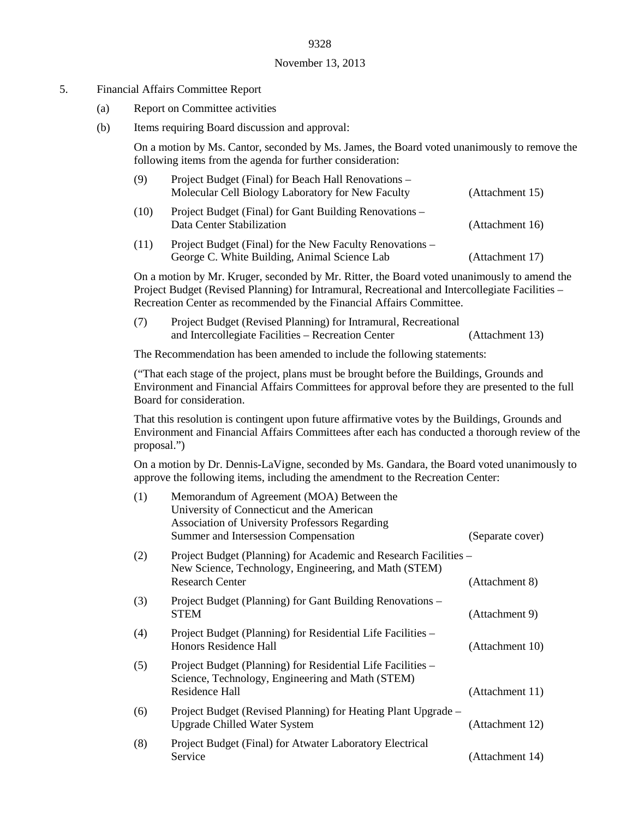#### November 13, 2013

#### 5. Financial Affairs Committee Report

- (a) Report on Committee activities
- (b) Items requiring Board discussion and approval:

On a motion by Ms. Cantor, seconded by Ms. James, the Board voted unanimously to remove the following items from the agenda for further consideration:

| (9)  | Project Budget (Final) for Beach Hall Renovations –<br>Molecular Cell Biology Laboratory for New Faculty | (Attachment 15) |
|------|----------------------------------------------------------------------------------------------------------|-----------------|
| (10) | Project Budget (Final) for Gant Building Renovations –<br>Data Center Stabilization                      | (Attachment 16) |
| (11) | Project Budget (Final) for the New Faculty Renovations –<br>George C. White Building, Animal Science Lab | (Attachment 17) |

On a motion by Mr. Kruger, seconded by Mr. Ritter, the Board voted unanimously to amend the Project Budget (Revised Planning) for Intramural, Recreational and Intercollegiate Facilities – Recreation Center as recommended by the Financial Affairs Committee.

| (7) | Project Budget (Revised Planning) for Intramural, Recreational |                 |
|-----|----------------------------------------------------------------|-----------------|
|     | and Intercollegiate Facilities – Recreation Center             | (Attachment 13) |

The Recommendation has been amended to include the following statements:

("That each stage of the project, plans must be brought before the Buildings, Grounds and Environment and Financial Affairs Committees for approval before they are presented to the full Board for consideration.

That this resolution is contingent upon future affirmative votes by the Buildings, Grounds and Environment and Financial Affairs Committees after each has conducted a thorough review of the proposal.")

On a motion by Dr. Dennis-LaVigne, seconded by Ms. Gandara, the Board voted unanimously to approve the following items, including the amendment to the Recreation Center:

| (1) | Memorandum of Agreement (MOA) Between the<br>University of Connecticut and the American<br><b>Association of University Professors Regarding</b><br>Summer and Intersession Compensation | (Separate cover) |
|-----|------------------------------------------------------------------------------------------------------------------------------------------------------------------------------------------|------------------|
| (2) | Project Budget (Planning) for Academic and Research Facilities -<br>New Science, Technology, Engineering, and Math (STEM)<br><b>Research Center</b>                                      | (Attachment 8)   |
| (3) | Project Budget (Planning) for Gant Building Renovations –<br><b>STEM</b>                                                                                                                 | (Attachment 9)   |
| (4) | Project Budget (Planning) for Residential Life Facilities -<br>Honors Residence Hall                                                                                                     | (Attachment 10)  |
| (5) | Project Budget (Planning) for Residential Life Facilities –<br>Science, Technology, Engineering and Math (STEM)<br>Residence Hall                                                        | (Attachment 11)  |
| (6) | Project Budget (Revised Planning) for Heating Plant Upgrade –<br><b>Upgrade Chilled Water System</b>                                                                                     | (Attachment 12)  |
| (8) | Project Budget (Final) for Atwater Laboratory Electrical<br>Service                                                                                                                      | (Attachment 14)  |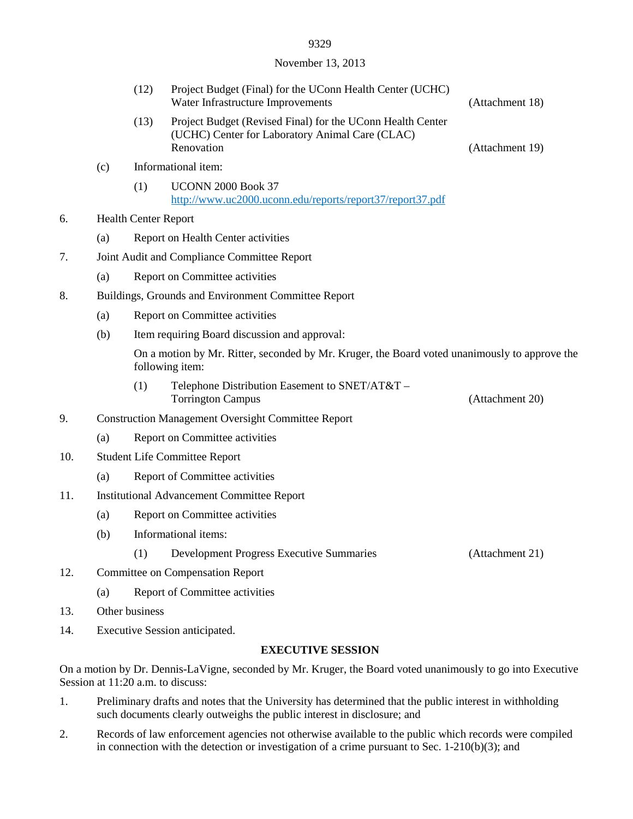## 9329 November 13, 2013

|     |     | (12)                                                                                                             | Project Budget (Final) for the UConn Health Center (UCHC)<br>Water Infrastructure Improvements                                                   | (Attachment 18) |  |
|-----|-----|------------------------------------------------------------------------------------------------------------------|--------------------------------------------------------------------------------------------------------------------------------------------------|-----------------|--|
|     |     | (13)                                                                                                             | Project Budget (Revised Final) for the UConn Health Center<br>(UCHC) Center for Laboratory Animal Care (CLAC)<br>Renovation                      | (Attachment 19) |  |
|     | (c) |                                                                                                                  | Informational item:                                                                                                                              |                 |  |
|     |     | (1)                                                                                                              | <b>UCONN 2000 Book 37</b><br>http://www.uc2000.uconn.edu/reports/report37/report37.pdf                                                           |                 |  |
| 6.  |     | <b>Health Center Report</b>                                                                                      |                                                                                                                                                  |                 |  |
|     | (a) |                                                                                                                  | Report on Health Center activities                                                                                                               |                 |  |
| 7.  |     |                                                                                                                  | Joint Audit and Compliance Committee Report                                                                                                      |                 |  |
|     | (a) |                                                                                                                  | Report on Committee activities                                                                                                                   |                 |  |
| 8.  |     | Buildings, Grounds and Environment Committee Report                                                              |                                                                                                                                                  |                 |  |
|     | (a) | Report on Committee activities                                                                                   |                                                                                                                                                  |                 |  |
|     | (b) |                                                                                                                  | Item requiring Board discussion and approval:                                                                                                    |                 |  |
|     |     | On a motion by Mr. Ritter, seconded by Mr. Kruger, the Board voted unanimously to approve the<br>following item: |                                                                                                                                                  |                 |  |
|     |     | (1)                                                                                                              | Telephone Distribution Easement to SNET/AT&T -<br><b>Torrington Campus</b>                                                                       | (Attachment 20) |  |
| 9.  |     | <b>Construction Management Oversight Committee Report</b>                                                        |                                                                                                                                                  |                 |  |
|     | (a) |                                                                                                                  | Report on Committee activities                                                                                                                   |                 |  |
| 10. |     | <b>Student Life Committee Report</b>                                                                             |                                                                                                                                                  |                 |  |
|     | (a) |                                                                                                                  | Report of Committee activities                                                                                                                   |                 |  |
| 11. |     | <b>Institutional Advancement Committee Report</b>                                                                |                                                                                                                                                  |                 |  |
|     | (a) |                                                                                                                  | Report on Committee activities                                                                                                                   |                 |  |
|     | (b) |                                                                                                                  | Informational items:                                                                                                                             |                 |  |
|     |     | (1)                                                                                                              | <b>Development Progress Executive Summaries</b>                                                                                                  | (Attachment 21) |  |
| 12. |     | <b>Committee on Compensation Report</b>                                                                          |                                                                                                                                                  |                 |  |
|     | (a) |                                                                                                                  | Report of Committee activities                                                                                                                   |                 |  |
| 13. |     | Other business                                                                                                   |                                                                                                                                                  |                 |  |
| 14. |     | Executive Session anticipated.                                                                                   |                                                                                                                                                  |                 |  |
|     |     |                                                                                                                  | <b>EXECUTIVE SESSION</b>                                                                                                                         |                 |  |
|     |     |                                                                                                                  | On a motion by Dr. Dennis-LaVigne, seconded by Mr. Kruger, the Board voted unanimously to go into Executive<br>Session at 11:20 a.m. to discuss: |                 |  |

- 1. Preliminary drafts and notes that the University has determined that the public interest in withholding such documents clearly outweighs the public interest in disclosure; and
- 2. Records of law enforcement agencies not otherwise available to the public which records were compiled in connection with the detection or investigation of a crime pursuant to Sec. 1-210(b)(3); and